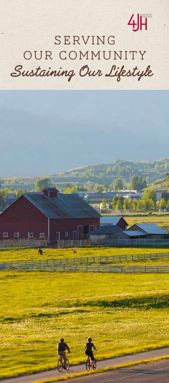# 小

# SERVING Our Community **Sustaining Our Lifestyle**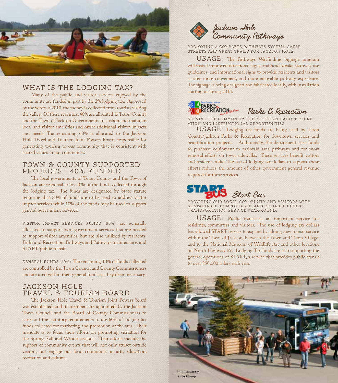

## WHAT IS THE LODGING TAX?

Many of the public and visitor services enjoyed by the community are funded in part by the 2% lodging tax. Approved by the voters is 2010, the money is collected from tourists visiting the valley. Of these revenues, 40% are allocated to Teton County and the Town of Jackson Governments to sustain and maintain local and visitor amenities and offset additional visitor impacts and needs. The remaining 60% is allocated to the Jackson Hole Travel and Tourism Joint Powers Board, responsible for generating tourism to our community that is consistent with shared values in our community.

#### Town & County Supported PROJECTS - 40% FUNDED

The local governments of Teton County and the Town of Jackson are responsible for 40% of the funds collected through the lodging tax. The funds are designated by State statute requiring that 30% of funds are to be used to address visitor impact services while 10% of the funds may be used to support general government services.

Visitor Impact Services Funds (30%) are generally allocated to support local government services that are needed to support visitor amenities, but are also utilized by residents: Parks and Recreation, Pathways and Pathways maintenance, and START/public transit.

GENERAL FUNDS (10%) The remaining 10% of funds collected are controlled by the Town Council and County Commissioners and are used within their general funds, as they deem necessary.

### JACKSON HOLE TRAVEL & TOURISM BOARD

The Jackson Hole Travel & Tourism Joint Powers board was established, and its members are appointed, by the Jackson Town Council and the Board of County Commissioners to carry out the statutory requirements to use 60% of lodging tax funds collected for marketing and promotion of the area. Their mandate is to focus their efforts on promoting visitation for the Spring, Fall and Winter seasons. Their efforts include the support of community events that will not only attract outside visitors, but engage our local community in arts, education, recreation and culture.



Promoting a complete Pathways system, safer streets and great trails for Jackson Hole.

 $USAGE:$  The Pathways Wayfinding Signage program will install improved directional signs, trailhead kiosks, pathway use guidelines, and informational signs to provide residents and visitors a safer, more convenient, and more enjoyable pathway experience. The signage is being designed and fabricated locally, with installation starting in spring 2013.



Serving the community the youth and adult recre-ation and instructional opportunities.

USAGE: Lodging tax funds are being used by Teton County/Jackson Parks & Recreation for downtown services and beautification projects. Additionally, the department uses funds to purchase equipment to maintain area pathways and for snow removal efforts on town sidewalks. These services benefit visitors and residents alike. The use of lodging tax dollars to support these efforts reduces the amount of other government general revenue required for these services.



Providing our local community and visitors with sustainable, comfortable, and reliable public transportation service year-round.

USAGE: Public transit is an important service for residents, commuters and visitors. The use of lodging tax dollars has allowed START service to expand by adding new transit service within the Town of Jackson, between the Town and Teton Village, and to the National Museum of Wildlife Art and other locations on North Highway 89. Lodging Tax funds are also supporting the general operations of START, a service that provides public transit to over 850,000 riders each year.